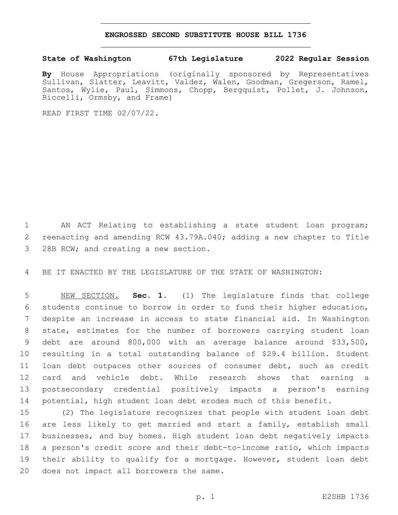## **ENGROSSED SECOND SUBSTITUTE HOUSE BILL 1736**

## **State of Washington 67th Legislature 2022 Regular Session**

**By** House Appropriations (originally sponsored by Representatives Sullivan, Slatter, Leavitt, Valdez, Walen, Goodman, Gregerson, Ramel, Santos, Wylie, Paul, Simmons, Chopp, Bergquist, Pollet, J. Johnson, Riccelli, Ormsby, and Frame)

READ FIRST TIME 02/07/22.

 AN ACT Relating to establishing a state student loan program; reenacting and amending RCW 43.79A.040; adding a new chapter to Title 3 28B RCW; and creating a new section.

BE IT ENACTED BY THE LEGISLATURE OF THE STATE OF WASHINGTON:

 NEW SECTION. **Sec. 1.** (1) The legislature finds that college students continue to borrow in order to fund their higher education, despite an increase in access to state financial aid. In Washington state, estimates for the number of borrowers carrying student loan debt are around 800,000 with an average balance around \$33,500, resulting in a total outstanding balance of \$29.4 billion. Student loan debt outpaces other sources of consumer debt, such as credit card and vehicle debt. While research shows that earning a postsecondary credential positively impacts a person's earning potential, high student loan debt erodes much of this benefit.

 (2) The legislature recognizes that people with student loan debt are less likely to get married and start a family, establish small businesses, and buy homes. High student loan debt negatively impacts a person's credit score and their debt-to-income ratio, which impacts their ability to qualify for a mortgage. However, student loan debt 20 does not impact all borrowers the same.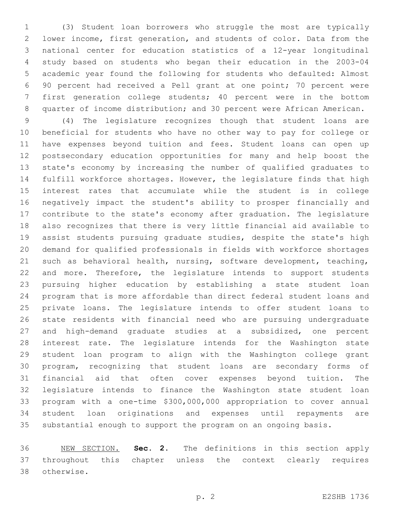(3) Student loan borrowers who struggle the most are typically lower income, first generation, and students of color. Data from the national center for education statistics of a 12-year longitudinal study based on students who began their education in the 2003-04 academic year found the following for students who defaulted: Almost 90 percent had received a Pell grant at one point; 70 percent were first generation college students; 40 percent were in the bottom quarter of income distribution; and 30 percent were African American.

 (4) The legislature recognizes though that student loans are beneficial for students who have no other way to pay for college or have expenses beyond tuition and fees. Student loans can open up postsecondary education opportunities for many and help boost the state's economy by increasing the number of qualified graduates to fulfill workforce shortages. However, the legislature finds that high interest rates that accumulate while the student is in college negatively impact the student's ability to prosper financially and contribute to the state's economy after graduation. The legislature also recognizes that there is very little financial aid available to assist students pursuing graduate studies, despite the state's high demand for qualified professionals in fields with workforce shortages such as behavioral health, nursing, software development, teaching, and more. Therefore, the legislature intends to support students pursuing higher education by establishing a state student loan program that is more affordable than direct federal student loans and private loans. The legislature intends to offer student loans to state residents with financial need who are pursuing undergraduate and high-demand graduate studies at a subsidized, one percent interest rate. The legislature intends for the Washington state student loan program to align with the Washington college grant program, recognizing that student loans are secondary forms of financial aid that often cover expenses beyond tuition. The legislature intends to finance the Washington state student loan program with a one-time \$300,000,000 appropriation to cover annual student loan originations and expenses until repayments are substantial enough to support the program on an ongoing basis.

 NEW SECTION. **Sec. 2.** The definitions in this section apply throughout this chapter unless the context clearly requires otherwise.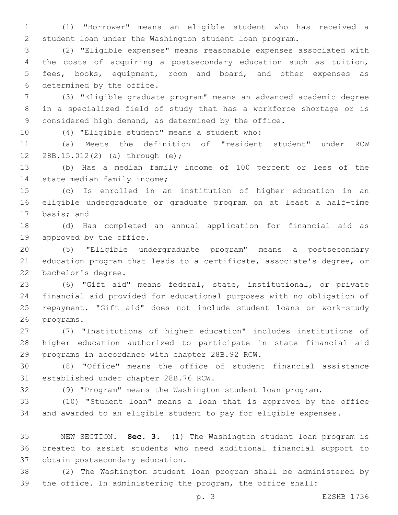(1) "Borrower" means an eligible student who has received a student loan under the Washington student loan program.

 (2) "Eligible expenses" means reasonable expenses associated with the costs of acquiring a postsecondary education such as tuition, fees, books, equipment, room and board, and other expenses as 6 determined by the office.

 (3) "Eligible graduate program" means an advanced academic degree in a specialized field of study that has a workforce shortage or is considered high demand, as determined by the office.

10 (4) "Eligible student" means a student who:

 (a) Meets the definition of "resident student" under RCW 12 28B.15.012(2) (a) through (e);

 (b) Has a median family income of 100 percent or less of the 14 state median family income;

 (c) Is enrolled in an institution of higher education in an eligible undergraduate or graduate program on at least a half-time 17 basis; and

 (d) Has completed an annual application for financial aid as 19 approved by the office.

 (5) "Eligible undergraduate program" means a postsecondary education program that leads to a certificate, associate's degree, or 22 bachelor's degree.

 (6) "Gift aid" means federal, state, institutional, or private financial aid provided for educational purposes with no obligation of repayment. "Gift aid" does not include student loans or work-study 26 programs.

 (7) "Institutions of higher education" includes institutions of higher education authorized to participate in state financial aid 29 programs in accordance with chapter 28B.92 RCW.

 (8) "Office" means the office of student financial assistance 31 established under chapter 28B.76 RCW.

(9) "Program" means the Washington student loan program.

 (10) "Student loan" means a loan that is approved by the office and awarded to an eligible student to pay for eligible expenses.

 NEW SECTION. **Sec. 3.** (1) The Washington student loan program is created to assist students who need additional financial support to obtain postsecondary education.

 (2) The Washington student loan program shall be administered by the office. In administering the program, the office shall: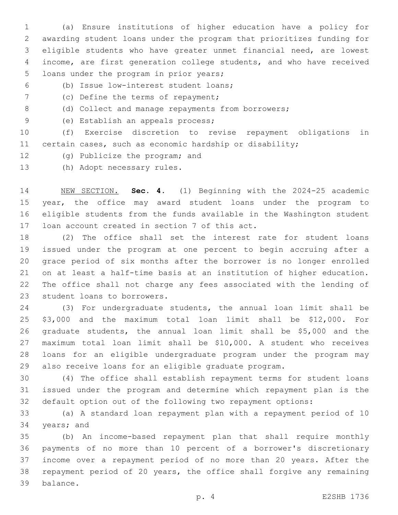(a) Ensure institutions of higher education have a policy for awarding student loans under the program that prioritizes funding for eligible students who have greater unmet financial need, are lowest income, are first generation college students, and who have received 5 loans under the program in prior years;

(b) Issue low-interest student loans;6

- 7 (c) Define the terms of repayment;
- 8 (d) Collect and manage repayments from borrowers;
- 9 (e) Establish an appeals process;

 (f) Exercise discretion to revise repayment obligations in certain cases, such as economic hardship or disability;

- 12 (g) Publicize the program; and
- 13 (h) Adopt necessary rules.

 NEW SECTION. **Sec. 4.** (1) Beginning with the 2024-25 academic year, the office may award student loans under the program to eligible students from the funds available in the Washington student loan account created in section 7 of this act.

 (2) The office shall set the interest rate for student loans issued under the program at one percent to begin accruing after a grace period of six months after the borrower is no longer enrolled on at least a half-time basis at an institution of higher education. The office shall not charge any fees associated with the lending of 23 student loans to borrowers.

 (3) For undergraduate students, the annual loan limit shall be \$3,000 and the maximum total loan limit shall be \$12,000. For graduate students, the annual loan limit shall be \$5,000 and the maximum total loan limit shall be \$10,000. A student who receives loans for an eligible undergraduate program under the program may also receive loans for an eligible graduate program.

 (4) The office shall establish repayment terms for student loans issued under the program and determine which repayment plan is the default option out of the following two repayment options:

 (a) A standard loan repayment plan with a repayment period of 10 34 years; and

 (b) An income-based repayment plan that shall require monthly payments of no more than 10 percent of a borrower's discretionary income over a repayment period of no more than 20 years. After the repayment period of 20 years, the office shall forgive any remaining 39 balance.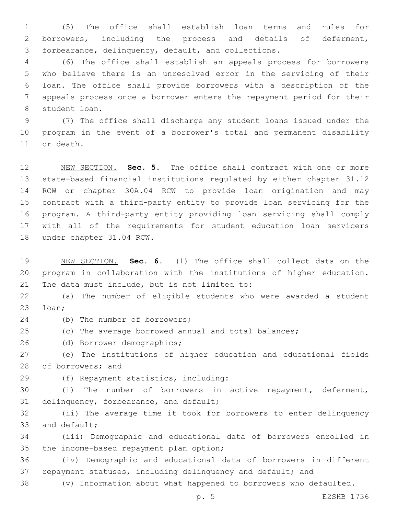(5) The office shall establish loan terms and rules for borrowers, including the process and details of deferment, forbearance, delinquency, default, and collections.

 (6) The office shall establish an appeals process for borrowers who believe there is an unresolved error in the servicing of their loan. The office shall provide borrowers with a description of the appeals process once a borrower enters the repayment period for their 8 student loan.

 (7) The office shall discharge any student loans issued under the program in the event of a borrower's total and permanent disability 11 or death.

 NEW SECTION. **Sec. 5.** The office shall contract with one or more state-based financial institutions regulated by either chapter 31.12 RCW or chapter 30A.04 RCW to provide loan origination and may contract with a third-party entity to provide loan servicing for the program. A third-party entity providing loan servicing shall comply with all of the requirements for student education loan servicers under chapter 31.04 RCW.

 NEW SECTION. **Sec. 6.** (1) The office shall collect data on the program in collaboration with the institutions of higher education. The data must include, but is not limited to:

 (a) The number of eligible students who were awarded a student 23 loan;

- 24 (b) The number of borrowers;
- (c) The average borrowed annual and total balances;

26 (d) Borrower demographics;

 (e) The institutions of higher education and educational fields 28 of borrowers; and

(f) Repayment statistics, including:29

 (i) The number of borrowers in active repayment, deferment, 31 delinquency, forbearance, and default;

 (ii) The average time it took for borrowers to enter delinquency 33 and default;

 (iii) Demographic and educational data of borrowers enrolled in 35 the income-based repayment plan option;

 (iv) Demographic and educational data of borrowers in different repayment statuses, including delinquency and default; and

(v) Information about what happened to borrowers who defaulted.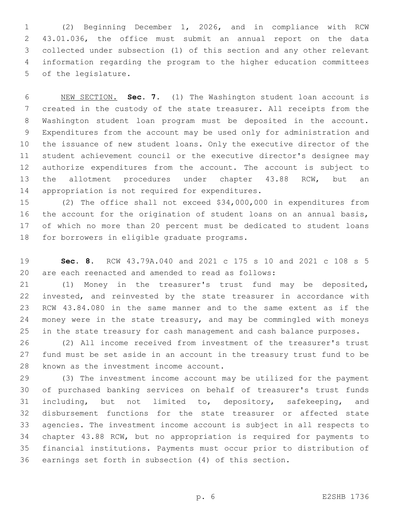(2) Beginning December 1, 2026, and in compliance with RCW 43.01.036, the office must submit an annual report on the data collected under subsection (1) of this section and any other relevant information regarding the program to the higher education committees 5 of the legislature.

 NEW SECTION. **Sec. 7.** (1) The Washington student loan account is created in the custody of the state treasurer. All receipts from the Washington student loan program must be deposited in the account. Expenditures from the account may be used only for administration and the issuance of new student loans. Only the executive director of the student achievement council or the executive director's designee may authorize expenditures from the account. The account is subject to the allotment procedures under chapter 43.88 RCW, but an appropriation is not required for expenditures.

 (2) The office shall not exceed \$34,000,000 in expenditures from the account for the origination of student loans on an annual basis, of which no more than 20 percent must be dedicated to student loans 18 for borrowers in eligible graduate programs.

 **Sec. 8.** RCW 43.79A.040 and 2021 c 175 s 10 and 2021 c 108 s 5 are each reenacted and amended to read as follows:

 (1) Money in the treasurer's trust fund may be deposited, invested, and reinvested by the state treasurer in accordance with RCW 43.84.080 in the same manner and to the same extent as if the money were in the state treasury, and may be commingled with moneys in the state treasury for cash management and cash balance purposes.

 (2) All income received from investment of the treasurer's trust fund must be set aside in an account in the treasury trust fund to be 28 known as the investment income account.

 (3) The investment income account may be utilized for the payment of purchased banking services on behalf of treasurer's trust funds including, but not limited to, depository, safekeeping, and disbursement functions for the state treasurer or affected state agencies. The investment income account is subject in all respects to chapter 43.88 RCW, but no appropriation is required for payments to financial institutions. Payments must occur prior to distribution of earnings set forth in subsection (4) of this section.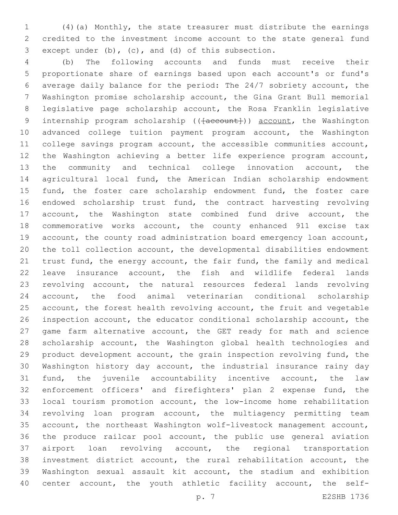(4)(a) Monthly, the state treasurer must distribute the earnings credited to the investment income account to the state general fund 3 except under (b), (c), and (d) of this subsection.

 (b) The following accounts and funds must receive their proportionate share of earnings based upon each account's or fund's average daily balance for the period: The 24/7 sobriety account, the Washington promise scholarship account, the Gina Grant Bull memorial legislative page scholarship account, the Rosa Franklin legislative 9 internship program scholarship (( $\{a$ ccount)) account, the Washington advanced college tuition payment program account, the Washington college savings program account, the accessible communities account, the Washington achieving a better life experience program account, the community and technical college innovation account, the agricultural local fund, the American Indian scholarship endowment 15 fund, the foster care scholarship endowment fund, the foster care endowed scholarship trust fund, the contract harvesting revolving account, the Washington state combined fund drive account, the commemorative works account, the county enhanced 911 excise tax account, the county road administration board emergency loan account, the toll collection account, the developmental disabilities endowment trust fund, the energy account, the fair fund, the family and medical leave insurance account, the fish and wildlife federal lands revolving account, the natural resources federal lands revolving account, the food animal veterinarian conditional scholarship account, the forest health revolving account, the fruit and vegetable inspection account, the educator conditional scholarship account, the game farm alternative account, the GET ready for math and science scholarship account, the Washington global health technologies and product development account, the grain inspection revolving fund, the Washington history day account, the industrial insurance rainy day fund, the juvenile accountability incentive account, the law enforcement officers' and firefighters' plan 2 expense fund, the local tourism promotion account, the low-income home rehabilitation revolving loan program account, the multiagency permitting team account, the northeast Washington wolf-livestock management account, the produce railcar pool account, the public use general aviation airport loan revolving account, the regional transportation investment district account, the rural rehabilitation account, the Washington sexual assault kit account, the stadium and exhibition center account, the youth athletic facility account, the self-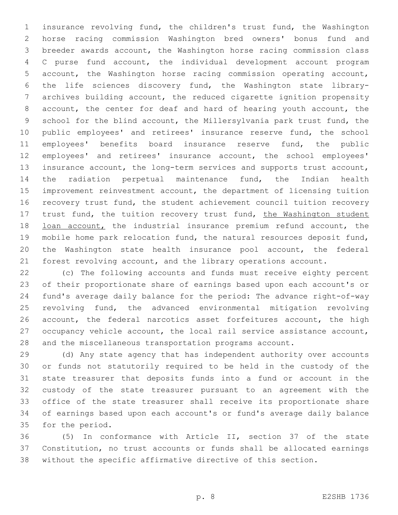insurance revolving fund, the children's trust fund, the Washington horse racing commission Washington bred owners' bonus fund and breeder awards account, the Washington horse racing commission class C purse fund account, the individual development account program account, the Washington horse racing commission operating account, the life sciences discovery fund, the Washington state library- archives building account, the reduced cigarette ignition propensity account, the center for deaf and hard of hearing youth account, the school for the blind account, the Millersylvania park trust fund, the public employees' and retirees' insurance reserve fund, the school employees' benefits board insurance reserve fund, the public employees' and retirees' insurance account, the school employees' insurance account, the long-term services and supports trust account, the radiation perpetual maintenance fund, the Indian health improvement reinvestment account, the department of licensing tuition recovery trust fund, the student achievement council tuition recovery 17 trust fund, the tuition recovery trust fund, the Washington student 18 loan account, the industrial insurance premium refund account, the mobile home park relocation fund, the natural resources deposit fund, the Washington state health insurance pool account, the federal forest revolving account, and the library operations account.

 (c) The following accounts and funds must receive eighty percent of their proportionate share of earnings based upon each account's or fund's average daily balance for the period: The advance right-of-way revolving fund, the advanced environmental mitigation revolving account, the federal narcotics asset forfeitures account, the high occupancy vehicle account, the local rail service assistance account, and the miscellaneous transportation programs account.

 (d) Any state agency that has independent authority over accounts or funds not statutorily required to be held in the custody of the state treasurer that deposits funds into a fund or account in the custody of the state treasurer pursuant to an agreement with the office of the state treasurer shall receive its proportionate share of earnings based upon each account's or fund's average daily balance 35 for the period.

 (5) In conformance with Article II, section 37 of the state Constitution, no trust accounts or funds shall be allocated earnings without the specific affirmative directive of this section.